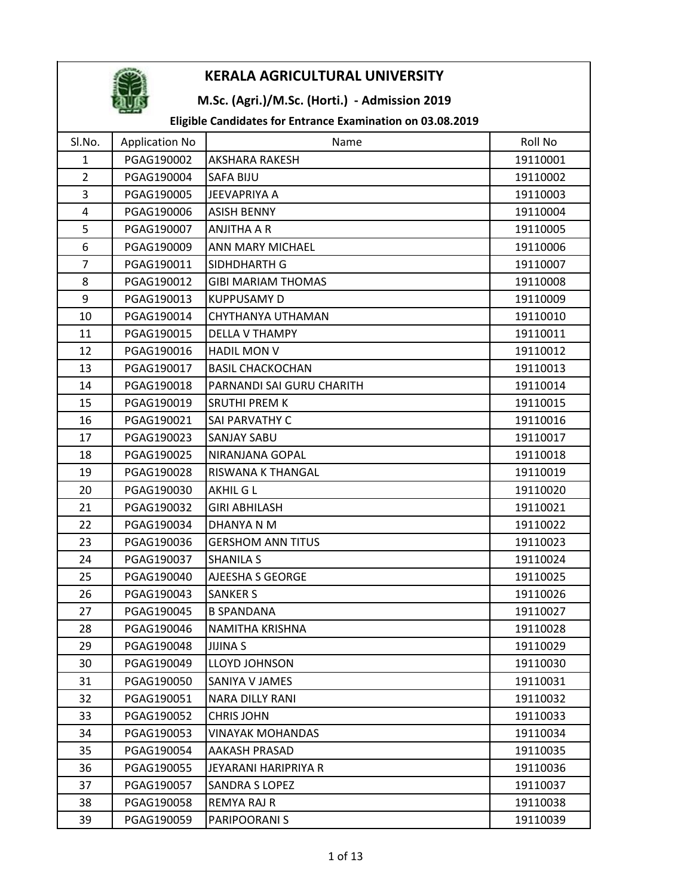

## M.Sc. (Agri.)/M.Sc. (Horti.) - Admission 2019

| Sl.No.         | <b>Application No</b> | Name                      | Roll No  |
|----------------|-----------------------|---------------------------|----------|
| $\mathbf{1}$   | PGAG190002            | <b>AKSHARA RAKESH</b>     | 19110001 |
| $\overline{2}$ | PGAG190004            | <b>SAFA BIJU</b>          | 19110002 |
| $\overline{3}$ | PGAG190005            | <b>JEEVAPRIYA A</b>       | 19110003 |
| $\overline{4}$ | PGAG190006            | <b>ASISH BENNY</b>        | 19110004 |
| 5              | PGAG190007            | ANJITHA A R               | 19110005 |
| 6              | PGAG190009            | ANN MARY MICHAEL          | 19110006 |
| $\overline{7}$ | PGAG190011            | SIDHDHARTH G              | 19110007 |
| 8              | PGAG190012            | <b>GIBI MARIAM THOMAS</b> | 19110008 |
| 9              | PGAG190013            | <b>KUPPUSAMY D</b>        | 19110009 |
| 10             | PGAG190014            | CHYTHANYA UTHAMAN         | 19110010 |
| 11             | PGAG190015            | DELLA V THAMPY            | 19110011 |
| 12             | PGAG190016            | <b>HADIL MON V</b>        | 19110012 |
| 13             | PGAG190017            | <b>BASIL CHACKOCHAN</b>   | 19110013 |
| 14             | PGAG190018            | PARNANDI SAI GURU CHARITH | 19110014 |
| 15             | PGAG190019            | <b>SRUTHI PREM K</b>      | 19110015 |
| 16             | PGAG190021            | SAI PARVATHY C            | 19110016 |
| 17             | PGAG190023            | <b>SANJAY SABU</b>        | 19110017 |
| 18             | PGAG190025            | NIRANJANA GOPAL           | 19110018 |
| 19             | PGAG190028            | RISWANA K THANGAL         | 19110019 |
| 20             | PGAG190030            | AKHIL G L                 | 19110020 |
| 21             | PGAG190032            | <b>GIRI ABHILASH</b>      | 19110021 |
| 22             | PGAG190034            | DHANYA N M                | 19110022 |
| 23             | PGAG190036            | <b>GERSHOM ANN TITUS</b>  | 19110023 |
| 24             | PGAG190037            | <b>SHANILA S</b>          | 19110024 |
| 25             | PGAG190040            | AJEESHA S GEORGE          | 19110025 |
| 26             | PGAG190043            | <b>SANKER S</b>           | 19110026 |
| 27             | PGAG190045            | <b>B SPANDANA</b>         | 19110027 |
| 28             | PGAG190046            | <b>NAMITHA KRISHNA</b>    | 19110028 |
| 29             | PGAG190048            | <b>JIJINA S</b>           | 19110029 |
| 30             | PGAG190049            | LLOYD JOHNSON             | 19110030 |
| 31             | PGAG190050            | SANIYA V JAMES            | 19110031 |
| 32             | PGAG190051            | NARA DILLY RANI           | 19110032 |
| 33             | PGAG190052            | <b>CHRIS JOHN</b>         | 19110033 |
| 34             | PGAG190053            | <b>VINAYAK MOHANDAS</b>   | 19110034 |
| 35             | PGAG190054            | AAKASH PRASAD             | 19110035 |
| 36             | PGAG190055            | JEYARANI HARIPRIYA R      | 19110036 |
| 37             | PGAG190057            | SANDRA S LOPEZ            | 19110037 |
| 38             | PGAG190058            | <b>REMYA RAJ R</b>        | 19110038 |
| 39             | PGAG190059            | PARIPOORANI S             | 19110039 |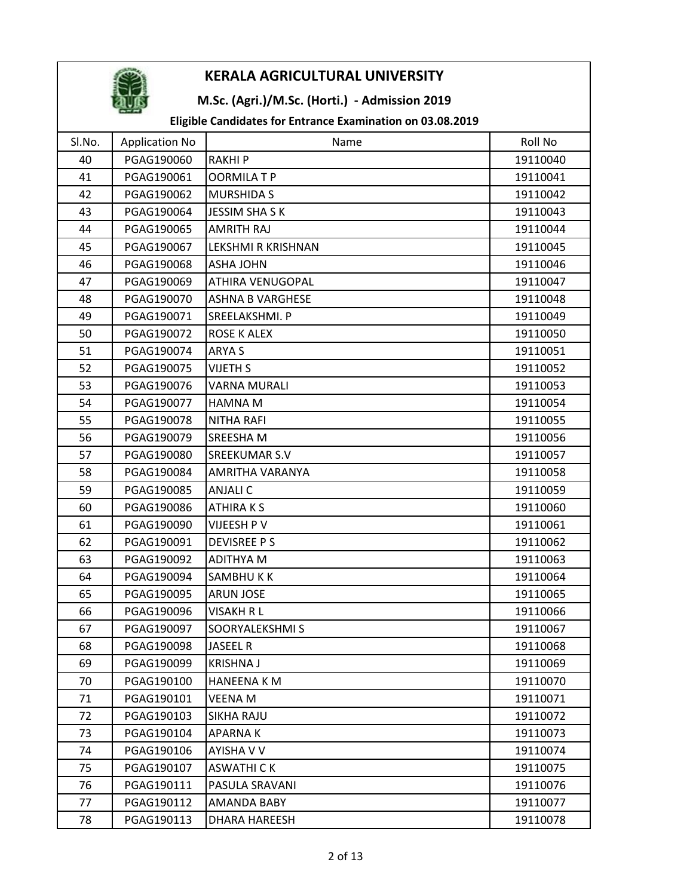

## M.Sc. (Agri.)/M.Sc. (Horti.) - Admission 2019

| SI.No. | <b>Application No</b> | Name                    | Roll No  |
|--------|-----------------------|-------------------------|----------|
| 40     | PGAG190060            | <b>RAKHIP</b>           | 19110040 |
| 41     | PGAG190061            | <b>OORMILATP</b>        | 19110041 |
| 42     | PGAG190062            | <b>MURSHIDA S</b>       | 19110042 |
| 43     | PGAG190064            | <b>JESSIM SHASK</b>     | 19110043 |
| 44     | PGAG190065            | AMRITH RAJ              | 19110044 |
| 45     | PGAG190067            | LEKSHMI R KRISHNAN      | 19110045 |
| 46     | PGAG190068            | <b>ASHA JOHN</b>        | 19110046 |
| 47     | PGAG190069            | <b>ATHIRA VENUGOPAL</b> | 19110047 |
| 48     | PGAG190070            | <b>ASHNA B VARGHESE</b> | 19110048 |
| 49     | PGAG190071            | SREELAKSHMI. P          | 19110049 |
| 50     | PGAG190072            | ROSE K ALEX             | 19110050 |
| 51     | PGAG190074            | ARYA S                  | 19110051 |
| 52     | PGAG190075            | <b>VIJETH S</b>         | 19110052 |
| 53     | PGAG190076            | <b>VARNA MURALI</b>     | 19110053 |
| 54     | PGAG190077            | <b>HAMNA M</b>          | 19110054 |
| 55     | PGAG190078            | <b>NITHA RAFI</b>       | 19110055 |
| 56     | PGAG190079            | SREESHA M               | 19110056 |
| 57     | PGAG190080            | <b>SREEKUMAR S.V</b>    | 19110057 |
| 58     | PGAG190084            | AMRITHA VARANYA         | 19110058 |
| 59     | PGAG190085            | <b>ANJALI C</b>         | 19110059 |
| 60     | PGAG190086            | <b>ATHIRAKS</b>         | 19110060 |
| 61     | PGAG190090            | VIJEESH P V             | 19110061 |
| 62     | PGAG190091            | <b>DEVISREE PS</b>      | 19110062 |
| 63     | PGAG190092            | <b>ADITHYA M</b>        | 19110063 |
| 64     | PGAG190094            | SAMBHUKK                | 19110064 |
| 65     | PGAG190095            | <b>ARUN JOSE</b>        | 19110065 |
| 66     | PGAG190096            | <b>VISAKH R L</b>       | 19110066 |
| 67     | PGAG190097            | SOORYALEKSHMI S         | 19110067 |
| 68     | PGAG190098            | <b>JASEEL R</b>         | 19110068 |
| 69     | PGAG190099            | <b>KRISHNA J</b>        | 19110069 |
| 70     | PGAG190100            | <b>HANEENA K M</b>      | 19110070 |
| 71     | PGAG190101            | <b>VEENAM</b>           | 19110071 |
| 72     | PGAG190103            | <b>SIKHA RAJU</b>       | 19110072 |
| 73     | PGAG190104            | APARNA K                | 19110073 |
| 74     | PGAG190106            | AYISHA V V              | 19110074 |
| 75     | PGAG190107            | <b>ASWATHICK</b>        | 19110075 |
| 76     | PGAG190111            | PASULA SRAVANI          | 19110076 |
| 77     | PGAG190112            | AMANDA BABY             | 19110077 |
| 78     | PGAG190113            | <b>DHARA HAREESH</b>    | 19110078 |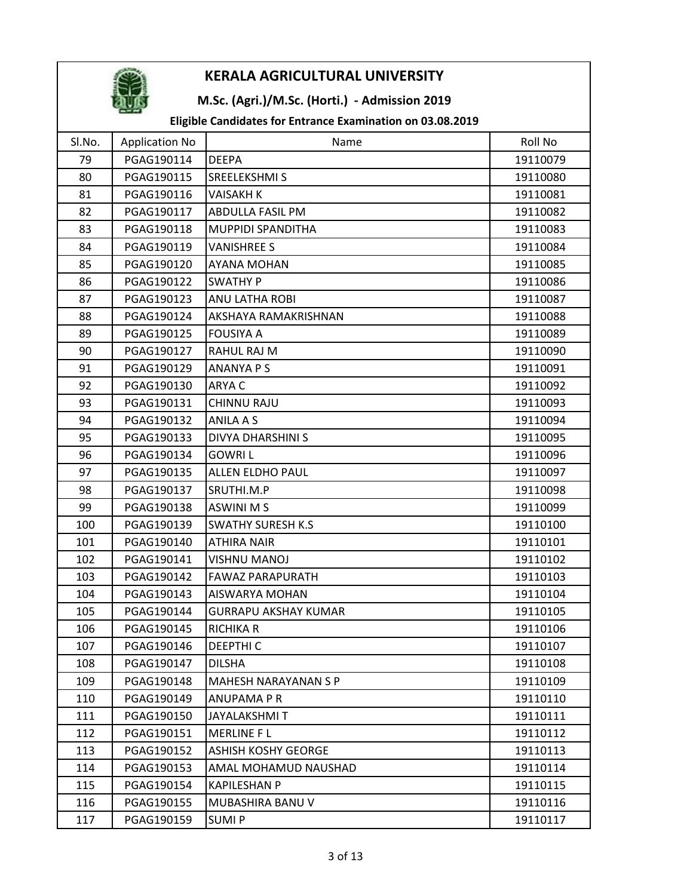

## M.Sc. (Agri.)/M.Sc. (Horti.) - Admission 2019

| SI.No. | <b>Application No</b> | Name                        | Roll No  |
|--------|-----------------------|-----------------------------|----------|
| 79     | PGAG190114            | <b>DEEPA</b>                | 19110079 |
| 80     | PGAG190115            | SREELEKSHMI S               | 19110080 |
| 81     | PGAG190116            | <b>VAISAKH K</b>            | 19110081 |
| 82     | PGAG190117            | <b>ABDULLA FASIL PM</b>     | 19110082 |
| 83     | PGAG190118            | MUPPIDI SPANDITHA           | 19110083 |
| 84     | PGAG190119            | <b>VANISHREE S</b>          | 19110084 |
| 85     | PGAG190120            | <b>AYANA MOHAN</b>          | 19110085 |
| 86     | PGAG190122            | <b>SWATHY P</b>             | 19110086 |
| 87     | PGAG190123            | ANU LATHA ROBI              | 19110087 |
| 88     | PGAG190124            | AKSHAYA RAMAKRISHNAN        | 19110088 |
| 89     | PGAG190125            | <b>FOUSIYA A</b>            | 19110089 |
| 90     | PGAG190127            | RAHUL RAJ M                 | 19110090 |
| 91     | PGAG190129            | <b>ANANYA P S</b>           | 19110091 |
| 92     | PGAG190130            | ARYA C                      | 19110092 |
| 93     | PGAG190131            | <b>CHINNU RAJU</b>          | 19110093 |
| 94     | PGAG190132            | <b>ANILA A S</b>            | 19110094 |
| 95     | PGAG190133            | <b>DIVYA DHARSHINI S</b>    | 19110095 |
| 96     | PGAG190134            | <b>GOWRIL</b>               | 19110096 |
| 97     | PGAG190135            | ALLEN ELDHO PAUL            | 19110097 |
| 98     | PGAG190137            | SRUTHI.M.P                  | 19110098 |
| 99     | PGAG190138            | <b>ASWINI MS</b>            | 19110099 |
| 100    | PGAG190139            | <b>SWATHY SURESH K.S</b>    | 19110100 |
| 101    | PGAG190140            | <b>ATHIRA NAIR</b>          | 19110101 |
| 102    | PGAG190141            | <b>VISHNU MANOJ</b>         | 19110102 |
| 103    | PGAG190142            | <b>FAWAZ PARAPURATH</b>     | 19110103 |
| 104    | PGAG190143            | AISWARYA MOHAN              | 19110104 |
| 105    | PGAG190144            | <b>GURRAPU AKSHAY KUMAR</b> | 19110105 |
| 106    | PGAG190145            | <b>RICHIKA R</b>            | 19110106 |
| 107    | PGAG190146            | <b>DEEPTHIC</b>             | 19110107 |
| 108    | PGAG190147            | <b>DILSHA</b>               | 19110108 |
| 109    | PGAG190148            | <b>MAHESH NARAYANAN S P</b> | 19110109 |
| 110    | PGAG190149            | <b>ANUPAMA P R</b>          | 19110110 |
| 111    | PGAG190150            | <b>JAYALAKSHMIT</b>         | 19110111 |
| 112    | PGAG190151            | <b>MERLINE FL</b>           | 19110112 |
| 113    | PGAG190152            | <b>ASHISH KOSHY GEORGE</b>  | 19110113 |
| 114    | PGAG190153            | AMAL MOHAMUD NAUSHAD        | 19110114 |
| 115    | PGAG190154            | KAPILESHAN P                | 19110115 |
| 116    | PGAG190155            | MUBASHIRA BANU V            | 19110116 |
| 117    | PGAG190159            | <b>SUMIP</b>                | 19110117 |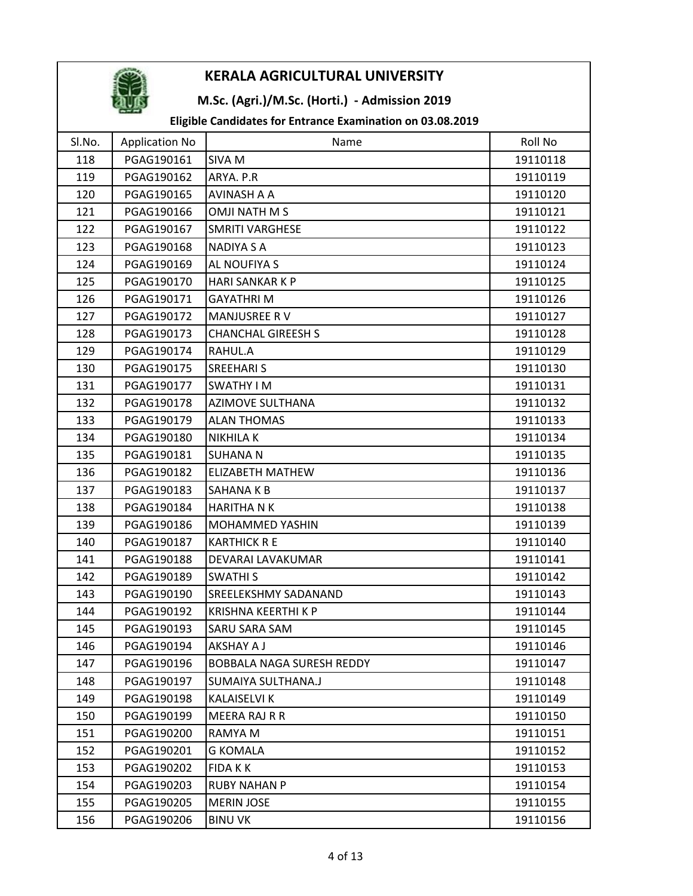

## M.Sc. (Agri.)/M.Sc. (Horti.) - Admission 2019

| SI.No. | <b>Application No</b> | Name                        | Roll No  |
|--------|-----------------------|-----------------------------|----------|
| 118    | PGAG190161            | <b>SIVA M</b>               | 19110118 |
| 119    | PGAG190162            | ARYA. P.R                   | 19110119 |
| 120    | PGAG190165            | AVINASH A A                 | 19110120 |
| 121    | PGAG190166            | OMJI NATH M S               | 19110121 |
| 122    | PGAG190167            | <b>SMRITI VARGHESE</b>      | 19110122 |
| 123    | PGAG190168            | <b>NADIYA S A</b>           | 19110123 |
| 124    | PGAG190169            | AL NOUFIYA S                | 19110124 |
| 125    | PGAG190170            | <b>HARI SANKAR K P</b>      | 19110125 |
| 126    | PGAG190171            | <b>GAYATHRIM</b>            | 19110126 |
| 127    | PGAG190172            | MANJUSREE RV                | 19110127 |
| 128    | PGAG190173            | <b>CHANCHAL GIREESH S</b>   | 19110128 |
| 129    | PGAG190174            | RAHUL.A                     | 19110129 |
| 130    | PGAG190175            | <b>SREEHARI S</b>           | 19110130 |
| 131    | PGAG190177            | SWATHY I M                  | 19110131 |
| 132    | PGAG190178            | <b>AZIMOVE SULTHANA</b>     | 19110132 |
| 133    | PGAG190179            | <b>ALAN THOMAS</b>          | 19110133 |
| 134    | PGAG190180            | <b>NIKHILAK</b>             | 19110134 |
| 135    | PGAG190181            | <b>SUHANA N</b>             | 19110135 |
| 136    | PGAG190182            | <b>ELIZABETH MATHEW</b>     | 19110136 |
| 137    | PGAG190183            | SAHANA K B                  | 19110137 |
| 138    | PGAG190184            | <b>HARITHA N K</b>          | 19110138 |
| 139    | PGAG190186            | MOHAMMED YASHIN             | 19110139 |
| 140    | PGAG190187            | <b>KARTHICK R E</b>         | 19110140 |
| 141    | PGAG190188            | DEVARAI LAVAKUMAR           | 19110141 |
| 142    | PGAG190189            | <b>SWATHIS</b>              | 19110142 |
| 143    | PGAG190190            | <b>SREELEKSHMY SADANAND</b> | 19110143 |
| 144    | PGAG190192            | <b>KRISHNA KEERTHI K P</b>  | 19110144 |
| 145    | PGAG190193            | SARU SARA SAM               | 19110145 |
| 146    | PGAG190194            | AKSHAY A J                  | 19110146 |
| 147    | PGAG190196            | BOBBALA NAGA SURESH REDDY   | 19110147 |
| 148    | PGAG190197            | SUMAIYA SULTHANA.J          | 19110148 |
| 149    | PGAG190198            | KALAISELVI K                | 19110149 |
| 150    | PGAG190199            | <b>MEERA RAJ R R</b>        | 19110150 |
| 151    | PGAG190200            | RAMYA M                     | 19110151 |
| 152    | PGAG190201            | <b>G KOMALA</b>             | 19110152 |
| 153    | PGAG190202            | <b>FIDAKK</b>               | 19110153 |
| 154    | PGAG190203            | <b>RUBY NAHAN P</b>         | 19110154 |
| 155    | PGAG190205            | <b>MERIN JOSE</b>           | 19110155 |
| 156    | PGAG190206            | <b>BINU VK</b>              | 19110156 |
|        |                       |                             |          |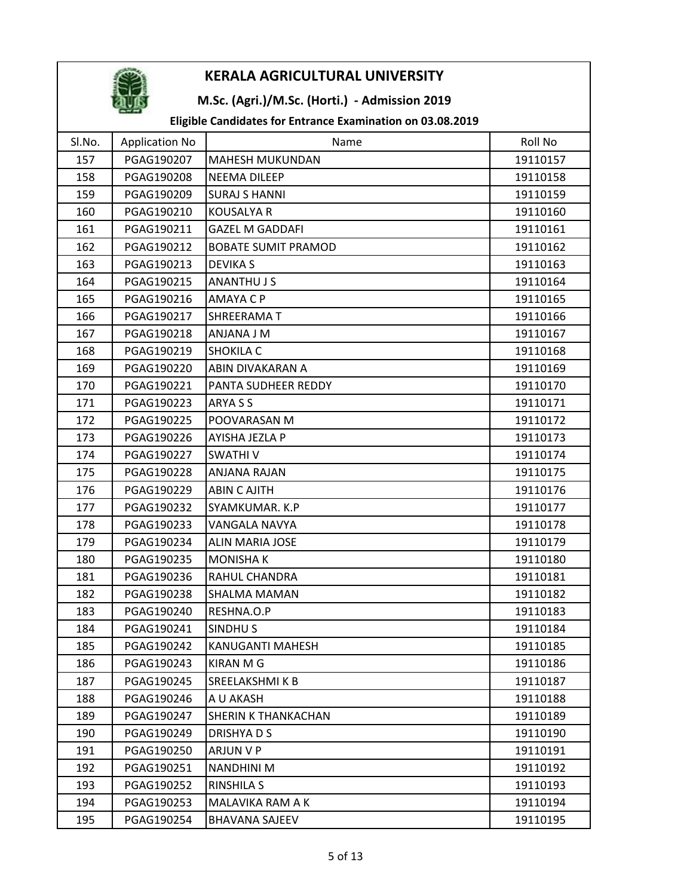

## M.Sc. (Agri.)/M.Sc. (Horti.) - Admission 2019

| Sl.No. | <b>Application No</b> | Name                       | Roll No  |
|--------|-----------------------|----------------------------|----------|
| 157    | PGAG190207            | <b>MAHESH MUKUNDAN</b>     | 19110157 |
| 158    | PGAG190208            | <b>NEEMA DILEEP</b>        | 19110158 |
| 159    | PGAG190209            | <b>SURAJ S HANNI</b>       | 19110159 |
| 160    | PGAG190210            | <b>KOUSALYA R</b>          | 19110160 |
| 161    | PGAG190211            | <b>GAZEL M GADDAFI</b>     | 19110161 |
| 162    | PGAG190212            | <b>BOBATE SUMIT PRAMOD</b> | 19110162 |
| 163    | PGAG190213            | <b>DEVIKA S</b>            | 19110163 |
| 164    | PGAG190215            | <b>ANANTHU J S</b>         | 19110164 |
| 165    | PGAG190216            | AMAYA C P                  | 19110165 |
| 166    | PGAG190217            | SHREERAMAT                 | 19110166 |
| 167    | PGAG190218            | <b>ANJANA J M</b>          | 19110167 |
| 168    | PGAG190219            | <b>SHOKILA C</b>           | 19110168 |
| 169    | PGAG190220            | ABIN DIVAKARAN A           | 19110169 |
| 170    | PGAG190221            | PANTA SUDHEER REDDY        | 19110170 |
| 171    | PGAG190223            | ARYA S S                   | 19110171 |
| 172    | PGAG190225            | POOVARASAN M               | 19110172 |
| 173    | PGAG190226            | AYISHA JEZLA P             | 19110173 |
| 174    | PGAG190227            | <b>SWATHIV</b>             | 19110174 |
| 175    | PGAG190228            | ANJANA RAJAN               | 19110175 |
| 176    | PGAG190229            | <b>ABIN C AJITH</b>        | 19110176 |
| 177    | PGAG190232            | SYAMKUMAR. K.P             | 19110177 |
| 178    | PGAG190233            | VANGALA NAVYA              | 19110178 |
| 179    | PGAG190234            | <b>ALIN MARIA JOSE</b>     | 19110179 |
| 180    | PGAG190235            | <b>MONISHAK</b>            | 19110180 |
| 181    | PGAG190236            | RAHUL CHANDRA              | 19110181 |
| 182    | PGAG190238            | SHALMA MAMAN               | 19110182 |
| 183    | PGAG190240            | RESHNA.O.P                 | 19110183 |
| 184    | PGAG190241            | <b>SINDHUS</b>             | 19110184 |
| 185    | PGAG190242            | KANUGANTI MAHESH           | 19110185 |
| 186    | PGAG190243            | <b>KIRAN M G</b>           | 19110186 |
| 187    | PGAG190245            | SREELAKSHMI K B            | 19110187 |
| 188    | PGAG190246            | A U AKASH                  | 19110188 |
| 189    | PGAG190247            | <b>SHERIN K THANKACHAN</b> | 19110189 |
| 190    | PGAG190249            | DRISHYA D S                | 19110190 |
| 191    | PGAG190250            | ARJUN V P                  | 19110191 |
| 192    | PGAG190251            | <b>NANDHINI M</b>          | 19110192 |
| 193    | PGAG190252            | <b>RINSHILA S</b>          | 19110193 |
| 194    | PGAG190253            | MALAVIKA RAM A K           | 19110194 |
| 195    | PGAG190254            | <b>BHAVANA SAJEEV</b>      | 19110195 |
|        |                       |                            |          |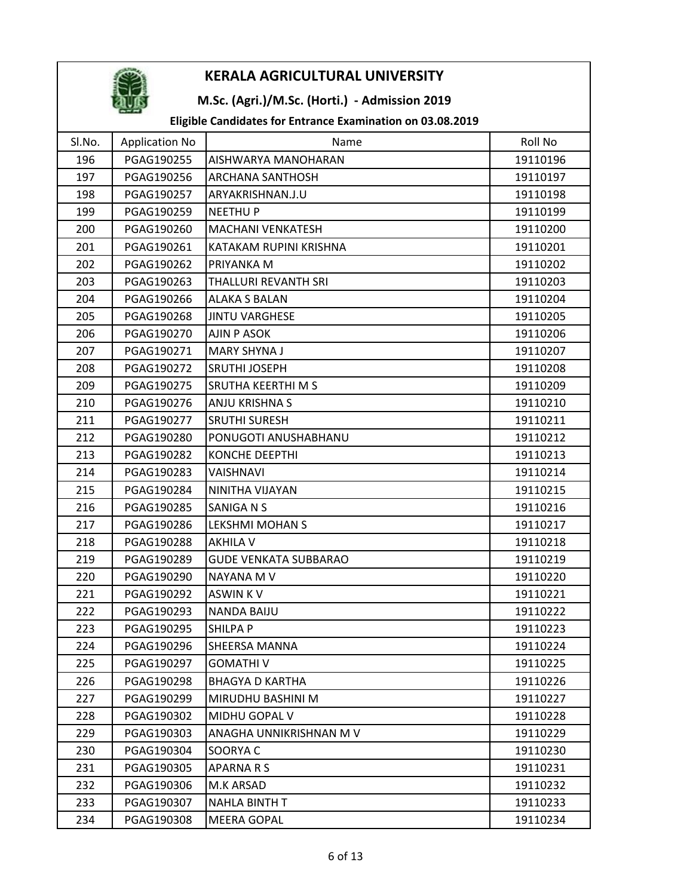

## M.Sc. (Agri.)/M.Sc. (Horti.) - Admission 2019

| SI.No. | <b>Application No</b> | Name                         | Roll No  |
|--------|-----------------------|------------------------------|----------|
| 196    | PGAG190255            | AISHWARYA MANOHARAN          | 19110196 |
| 197    | PGAG190256            | <b>ARCHANA SANTHOSH</b>      | 19110197 |
| 198    | PGAG190257            | ARYAKRISHNAN.J.U             | 19110198 |
| 199    | PGAG190259            | <b>NEETHUP</b>               | 19110199 |
| 200    | PGAG190260            | <b>MACHANI VENKATESH</b>     | 19110200 |
| 201    | PGAG190261            | KATAKAM RUPINI KRISHNA       | 19110201 |
| 202    | PGAG190262            | PRIYANKA M                   | 19110202 |
| 203    | PGAG190263            | THALLURI REVANTH SRI         | 19110203 |
| 204    | PGAG190266            | ALAKA S BALAN                | 19110204 |
| 205    | PGAG190268            | <b>JINTU VARGHESE</b>        | 19110205 |
| 206    | PGAG190270            | AJIN P ASOK                  | 19110206 |
| 207    | PGAG190271            | <b>MARY SHYNA J</b>          | 19110207 |
| 208    | PGAG190272            | <b>SRUTHI JOSEPH</b>         | 19110208 |
| 209    | PGAG190275            | SRUTHA KEERTHI M S           | 19110209 |
| 210    | PGAG190276            | ANJU KRISHNA S               | 19110210 |
| 211    | PGAG190277            | <b>SRUTHI SURESH</b>         | 19110211 |
| 212    | PGAG190280            | PONUGOTI ANUSHABHANU         | 19110212 |
| 213    | PGAG190282            | <b>KONCHE DEEPTHI</b>        | 19110213 |
| 214    | PGAG190283            | VAISHNAVI                    | 19110214 |
| 215    | PGAG190284            | NINITHA VIJAYAN              | 19110215 |
| 216    | PGAG190285            | <b>SANIGA N S</b>            | 19110216 |
| 217    | PGAG190286            | <b>LEKSHMI MOHAN S</b>       | 19110217 |
| 218    | PGAG190288            | <b>AKHILA V</b>              | 19110218 |
| 219    | PGAG190289            | <b>GUDE VENKATA SUBBARAO</b> | 19110219 |
| 220    | PGAG190290            | NAYANA M V                   | 19110220 |
| 221    | PGAG190292            | <b>ASWINKV</b>               | 19110221 |
| 222    | PGAG190293            | <b>NANDA BAIJU</b>           | 19110222 |
| 223    | PGAG190295            | <b>SHILPAP</b>               | 19110223 |
| 224    | PGAG190296            | <b>SHEERSA MANNA</b>         | 19110224 |
| 225    | PGAG190297            | <b>GOMATHIV</b>              | 19110225 |
| 226    | PGAG190298            | <b>BHAGYA D KARTHA</b>       | 19110226 |
| 227    | PGAG190299            | MIRUDHU BASHINI M            | 19110227 |
| 228    | PGAG190302            | MIDHU GOPAL V                | 19110228 |
| 229    | PGAG190303            | ANAGHA UNNIKRISHNAN M V      | 19110229 |
| 230    | PGAG190304            | SOORYA C                     | 19110230 |
| 231    | PGAG190305            | <b>APARNARS</b>              | 19110231 |
| 232    | PGAG190306            | M.K ARSAD                    | 19110232 |
| 233    | PGAG190307            | <b>NAHLA BINTH T</b>         | 19110233 |
| 234    | PGAG190308            | <b>MEERA GOPAL</b>           | 19110234 |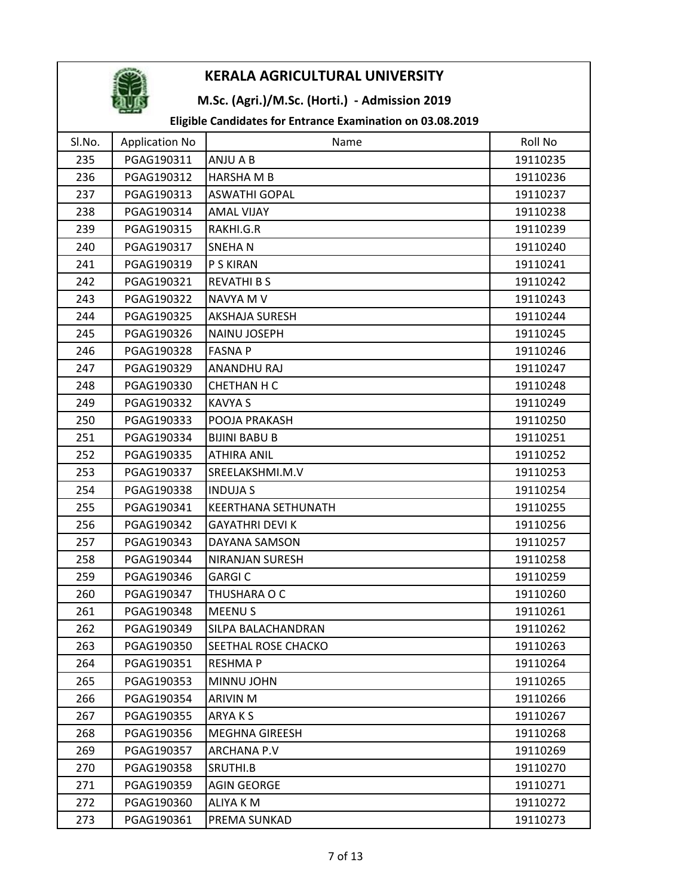

## M.Sc. (Agri.)/M.Sc. (Horti.) - Admission 2019

| SI.No. | <b>Application No</b> | Name                   | Roll No  |
|--------|-----------------------|------------------------|----------|
| 235    | PGAG190311            | ANJU A B               | 19110235 |
| 236    | PGAG190312            | <b>HARSHA M B</b>      | 19110236 |
| 237    | PGAG190313            | <b>ASWATHI GOPAL</b>   | 19110237 |
| 238    | PGAG190314            | <b>AMAL VIJAY</b>      | 19110238 |
| 239    | PGAG190315            | RAKHI.G.R              | 19110239 |
| 240    | PGAG190317            | <b>SNEHAN</b>          | 19110240 |
| 241    | PGAG190319            | P S KIRAN              | 19110241 |
| 242    | PGAG190321            | <b>REVATHI B S</b>     | 19110242 |
| 243    | PGAG190322            | NAVYA M V              | 19110243 |
| 244    | PGAG190325            | <b>AKSHAJA SURESH</b>  | 19110244 |
| 245    | PGAG190326            | <b>NAINU JOSEPH</b>    | 19110245 |
| 246    | PGAG190328            | <b>FASNA P</b>         | 19110246 |
| 247    | PGAG190329            | ANANDHU RAJ            | 19110247 |
| 248    | PGAG190330            | <b>CHETHAN H C</b>     | 19110248 |
| 249    | PGAG190332            | <b>KAVYA S</b>         | 19110249 |
| 250    | PGAG190333            | POOJA PRAKASH          | 19110250 |
| 251    | PGAG190334            | <b>BIJINI BABU B</b>   | 19110251 |
| 252    | PGAG190335            | <b>ATHIRA ANIL</b>     | 19110252 |
| 253    | PGAG190337            | SREELAKSHMI.M.V        | 19110253 |
| 254    | PGAG190338            | <b>INDUJA S</b>        | 19110254 |
| 255    | PGAG190341            | KEERTHANA SETHUNATH    | 19110255 |
| 256    | PGAG190342            | <b>GAYATHRI DEVI K</b> | 19110256 |
| 257    | PGAG190343            | DAYANA SAMSON          | 19110257 |
| 258    | PGAG190344            | <b>NIRANJAN SURESH</b> | 19110258 |
| 259    | PGAG190346            | <b>GARGI C</b>         | 19110259 |
| 260    | PGAG190347            | THUSHARA O C           | 19110260 |
| 261    | PGAG190348            | <b>MEENUS</b>          | 19110261 |
| 262    | PGAG190349            | SILPA BALACHANDRAN     | 19110262 |
| 263    | PGAG190350            | SEETHAL ROSE CHACKO    | 19110263 |
| 264    | PGAG190351            | <b>RESHMAP</b>         | 19110264 |
| 265    | PGAG190353            | MINNU JOHN             | 19110265 |
| 266    | PGAG190354            | ARIVIN M               | 19110266 |
| 267    | PGAG190355            | ARYAKS                 | 19110267 |
| 268    | PGAG190356            | <b>MEGHNA GIREESH</b>  | 19110268 |
| 269    | PGAG190357            | <b>ARCHANA P.V</b>     | 19110269 |
| 270    | PGAG190358            | SRUTHI.B               | 19110270 |
| 271    | PGAG190359            | <b>AGIN GEORGE</b>     | 19110271 |
| 272    | PGAG190360            | ALIYA K M              | 19110272 |
| 273    | PGAG190361            | PREMA SUNKAD           | 19110273 |
|        |                       |                        |          |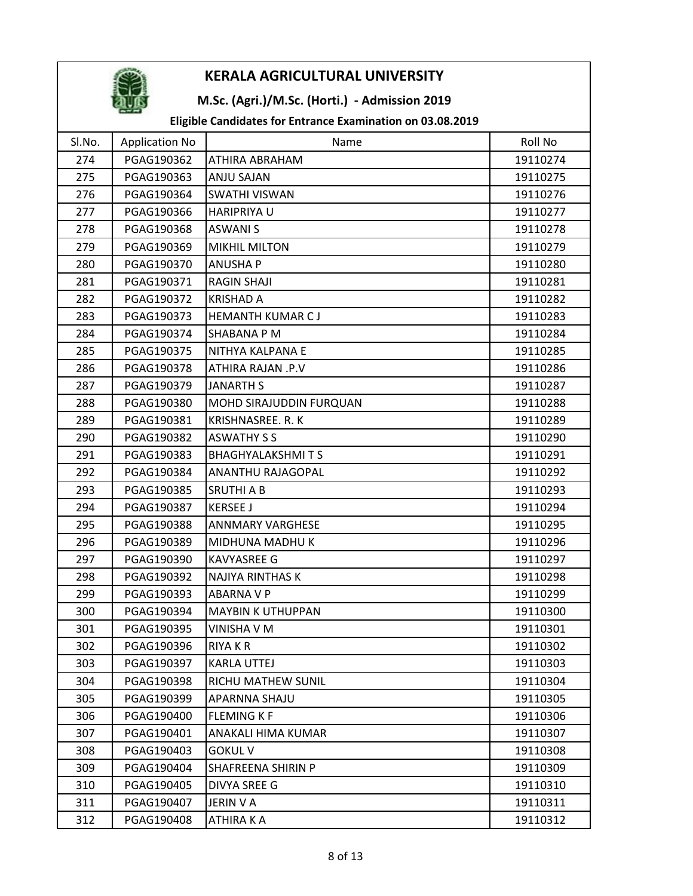

## M.Sc. (Agri.)/M.Sc. (Horti.) - Admission 2019

| SI.No. | <b>Application No</b> | Name                      | Roll No  |
|--------|-----------------------|---------------------------|----------|
| 274    | PGAG190362            | ATHIRA ABRAHAM            | 19110274 |
| 275    | PGAG190363            | ANJU SAJAN                | 19110275 |
| 276    | PGAG190364            | <b>SWATHI VISWAN</b>      | 19110276 |
| 277    | PGAG190366            | <b>HARIPRIYA U</b>        | 19110277 |
| 278    | PGAG190368            | <b>ASWANIS</b>            | 19110278 |
| 279    | PGAG190369            | <b>MIKHIL MILTON</b>      | 19110279 |
| 280    | PGAG190370            | <b>ANUSHAP</b>            | 19110280 |
| 281    | PGAG190371            | <b>RAGIN SHAJI</b>        | 19110281 |
| 282    | PGAG190372            | <b>KRISHAD A</b>          | 19110282 |
| 283    | PGAG190373            | HEMANTH KUMAR CJ          | 19110283 |
| 284    | PGAG190374            | SHABANA P M               | 19110284 |
| 285    | PGAG190375            | NITHYA KALPANA E          | 19110285 |
| 286    | PGAG190378            | ATHIRA RAJAN .P.V         | 19110286 |
| 287    | PGAG190379            | <b>JANARTH S</b>          | 19110287 |
| 288    | PGAG190380            | MOHD SIRAJUDDIN FURQUAN   | 19110288 |
| 289    | PGAG190381            | KRISHNASREE. R. K         | 19110289 |
| 290    | PGAG190382            | <b>ASWATHY S S</b>        | 19110290 |
| 291    | PGAG190383            | <b>BHAGHYALAKSHMITS</b>   | 19110291 |
| 292    | PGAG190384            | ANANTHU RAJAGOPAL         | 19110292 |
| 293    | PGAG190385            | SRUTHI A B                | 19110293 |
| 294    | PGAG190387            | <b>KERSEE J</b>           | 19110294 |
| 295    | PGAG190388            | <b>ANNMARY VARGHESE</b>   | 19110295 |
| 296    | PGAG190389            | MIDHUNA MADHU K           | 19110296 |
| 297    | PGAG190390            | <b>KAVYASREE G</b>        | 19110297 |
| 298    | PGAG190392            | <b>NAJIYA RINTHAS K</b>   | 19110298 |
| 299    | PGAG190393            | <b>ABARNA V P</b>         | 19110299 |
| 300    | PGAG190394            | <b>MAYBIN K UTHUPPAN</b>  | 19110300 |
| 301    | PGAG190395            | VINISHA V M               | 19110301 |
| 302    | PGAG190396            | <b>RIYAKR</b>             | 19110302 |
| 303    | PGAG190397            | <b>KARLA UTTEJ</b>        | 19110303 |
| 304    | PGAG190398            | RICHU MATHEW SUNIL        | 19110304 |
| 305    | PGAG190399            | APARNNA SHAJU             | 19110305 |
| 306    | PGAG190400            | <b>FLEMING K F</b>        | 19110306 |
| 307    | PGAG190401            | ANAKALI HIMA KUMAR        | 19110307 |
| 308    | PGAG190403            | <b>GOKUL V</b>            | 19110308 |
| 309    | PGAG190404            | <b>SHAFREENA SHIRIN P</b> | 19110309 |
| 310    | PGAG190405            | <b>DIVYA SREE G</b>       | 19110310 |
| 311    | PGAG190407            | <b>JERIN V A</b>          | 19110311 |
| 312    | PGAG190408            | ATHIRA K A                | 19110312 |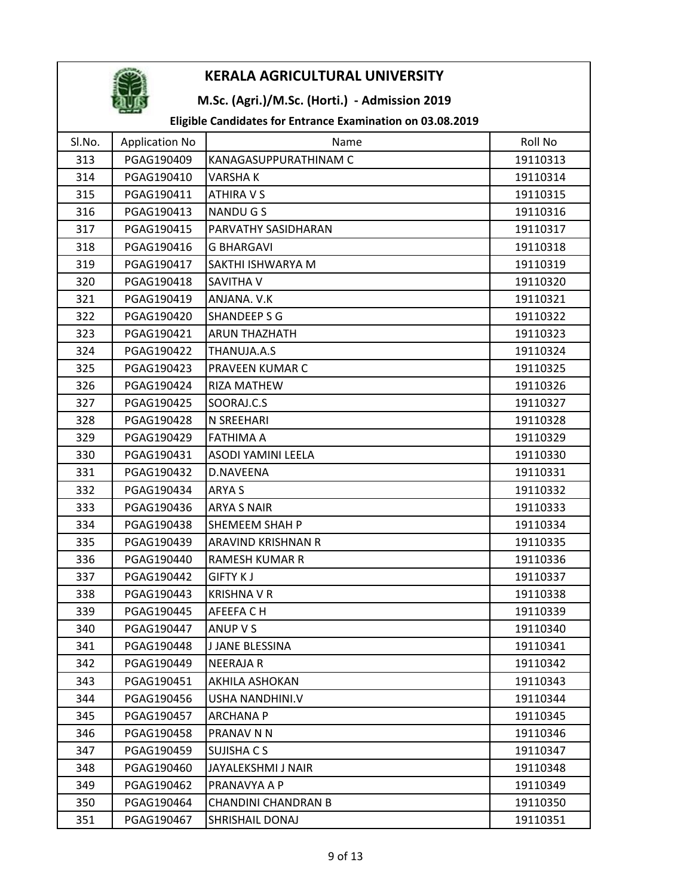

## M.Sc. (Agri.)/M.Sc. (Horti.) - Admission 2019

| SI.No. | <b>Application No</b> | Name                       | Roll No  |
|--------|-----------------------|----------------------------|----------|
| 313    | PGAG190409            | KANAGASUPPURATHINAM C      | 19110313 |
| 314    | PGAG190410            | <b>VARSHAK</b>             | 19110314 |
| 315    | PGAG190411            | ATHIRA V S                 | 19110315 |
| 316    | PGAG190413            | <b>NANDUGS</b>             | 19110316 |
| 317    | PGAG190415            | PARVATHY SASIDHARAN        | 19110317 |
| 318    | PGAG190416            | <b>G BHARGAVI</b>          | 19110318 |
| 319    | PGAG190417            | SAKTHI ISHWARYA M          | 19110319 |
| 320    | PGAG190418            | SAVITHA V                  | 19110320 |
| 321    | PGAG190419            | ANJANA. V.K                | 19110321 |
| 322    | PGAG190420            | <b>SHANDEEP S G</b>        | 19110322 |
| 323    | PGAG190421            | <b>ARUN THAZHATH</b>       | 19110323 |
| 324    | PGAG190422            | THANUJA.A.S                | 19110324 |
| 325    | PGAG190423            | PRAVEEN KUMAR C            | 19110325 |
| 326    | PGAG190424            | <b>RIZA MATHEW</b>         | 19110326 |
| 327    | PGAG190425            | SOORAJ.C.S                 | 19110327 |
| 328    | PGAG190428            | N SREEHARI                 | 19110328 |
| 329    | PGAG190429            | <b>FATHIMA A</b>           | 19110329 |
| 330    | PGAG190431            | <b>ASODI YAMINI LEELA</b>  | 19110330 |
| 331    | PGAG190432            | D.NAVEENA                  | 19110331 |
| 332    | PGAG190434            | ARYA S                     | 19110332 |
| 333    | PGAG190436            | <b>ARYA S NAIR</b>         | 19110333 |
| 334    | PGAG190438            | SHEMEEM SHAH P             | 19110334 |
| 335    | PGAG190439            | ARAVIND KRISHNAN R         | 19110335 |
| 336    | PGAG190440            | <b>RAMESH KUMAR R</b>      | 19110336 |
| 337    | PGAG190442            | <b>GIFTY KJ</b>            | 19110337 |
| 338    | PGAG190443            | <b>KRISHNA V R</b>         | 19110338 |
| 339    | PGAG190445            | AFEEFA C H                 | 19110339 |
| 340    | PGAG190447            | ANUP V S                   | 19110340 |
| 341    | PGAG190448            | <b>J JANE BLESSINA</b>     | 19110341 |
| 342    | PGAG190449            | <b>NEERAJAR</b>            | 19110342 |
| 343    | PGAG190451            | AKHILA ASHOKAN             | 19110343 |
| 344    | PGAG190456            | USHA NANDHINI.V            | 19110344 |
| 345    | PGAG190457            | <b>ARCHANA P</b>           | 19110345 |
| 346    | PGAG190458            | PRANAV N N                 | 19110346 |
| 347    | PGAG190459            | SUJISHA C S                | 19110347 |
| 348    | PGAG190460            | JAYALEKSHMI J NAIR         | 19110348 |
| 349    | PGAG190462            | PRANAVYA A P               | 19110349 |
| 350    | PGAG190464            | <b>CHANDINI CHANDRAN B</b> | 19110350 |
| 351    | PGAG190467            | SHRISHAIL DONAJ            | 19110351 |
|        |                       |                            |          |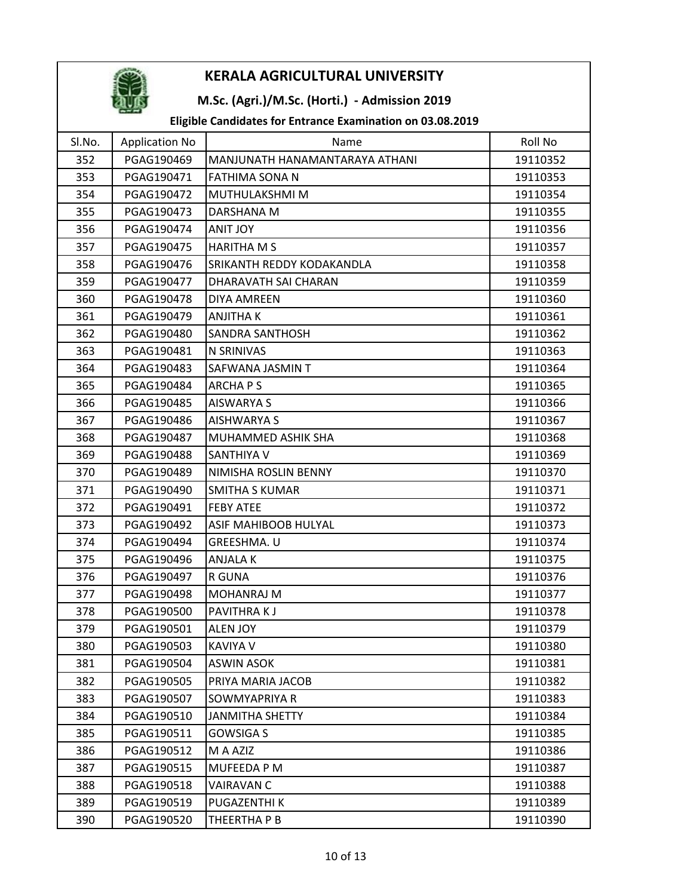

### M.Sc. (Agri.)/M.Sc. (Horti.) - Admission 2019

| Sl.No. | <b>Application No</b> | Name                           | Roll No  |
|--------|-----------------------|--------------------------------|----------|
| 352    | PGAG190469            | MANJUNATH HANAMANTARAYA ATHANI | 19110352 |
| 353    | PGAG190471            | FATHIMA SONA N                 | 19110353 |
| 354    | PGAG190472            | MUTHULAKSHMI M                 | 19110354 |
| 355    | PGAG190473            | DARSHANA M                     | 19110355 |
| 356    | PGAG190474            | <b>ANIT JOY</b>                | 19110356 |
| 357    | PGAG190475            | <b>HARITHA M S</b>             | 19110357 |
| 358    | PGAG190476            | SRIKANTH REDDY KODAKANDLA      | 19110358 |
| 359    | PGAG190477            | DHARAVATH SAI CHARAN           | 19110359 |
| 360    | PGAG190478            | DIYA AMREEN                    | 19110360 |
| 361    | PGAG190479            | ANJITHA K                      | 19110361 |
| 362    | PGAG190480            | <b>SANDRA SANTHOSH</b>         | 19110362 |
| 363    | PGAG190481            | N SRINIVAS                     | 19110363 |
| 364    | PGAG190483            | SAFWANA JASMIN T               | 19110364 |
| 365    | PGAG190484            | <b>ARCHAPS</b>                 | 19110365 |
| 366    | PGAG190485            | <b>AISWARYA S</b>              | 19110366 |
| 367    | PGAG190486            | AISHWARYA S                    | 19110367 |
| 368    | PGAG190487            | MUHAMMED ASHIK SHA             | 19110368 |
| 369    | PGAG190488            | <b>SANTHIYA V</b>              | 19110369 |
| 370    | PGAG190489            | NIMISHA ROSLIN BENNY           | 19110370 |
| 371    | PGAG190490            | SMITHA S KUMAR                 | 19110371 |
| 372    | PGAG190491            | <b>FEBY ATEE</b>               | 19110372 |
| 373    | PGAG190492            | ASIF MAHIBOOB HULYAL           | 19110373 |
| 374    | PGAG190494            | GREESHMA. U                    | 19110374 |
| 375    | PGAG190496            | <b>ANJALAK</b>                 | 19110375 |
| 376    | PGAG190497            | R GUNA                         | 19110376 |
| 377    | PGAG190498            | <b>MOHANRAJ M</b>              | 19110377 |
| 378    | PGAG190500            | PAVITHRAKJ                     | 19110378 |
| 379    | PGAG190501            | <b>ALEN JOY</b>                | 19110379 |
| 380    | PGAG190503            | <b>KAVIYA V</b>                | 19110380 |
| 381    | PGAG190504            | <b>ASWIN ASOK</b>              | 19110381 |
| 382    | PGAG190505            | PRIYA MARIA JACOB              | 19110382 |
| 383    | PGAG190507            | SOWMYAPRIYA R                  | 19110383 |
| 384    | PGAG190510            | <b>JANMITHA SHETTY</b>         | 19110384 |
| 385    | PGAG190511            | <b>GOWSIGA S</b>               | 19110385 |
| 386    | PGAG190512            | M A AZIZ                       | 19110386 |
| 387    | PGAG190515            | <b>MUFEEDA P M</b>             | 19110387 |
| 388    | PGAG190518            | VAIRAVAN C                     | 19110388 |
| 389    | PGAG190519            | PUGAZENTHI K                   | 19110389 |
| 390    | PGAG190520            | THEERTHA P B                   | 19110390 |
|        |                       |                                |          |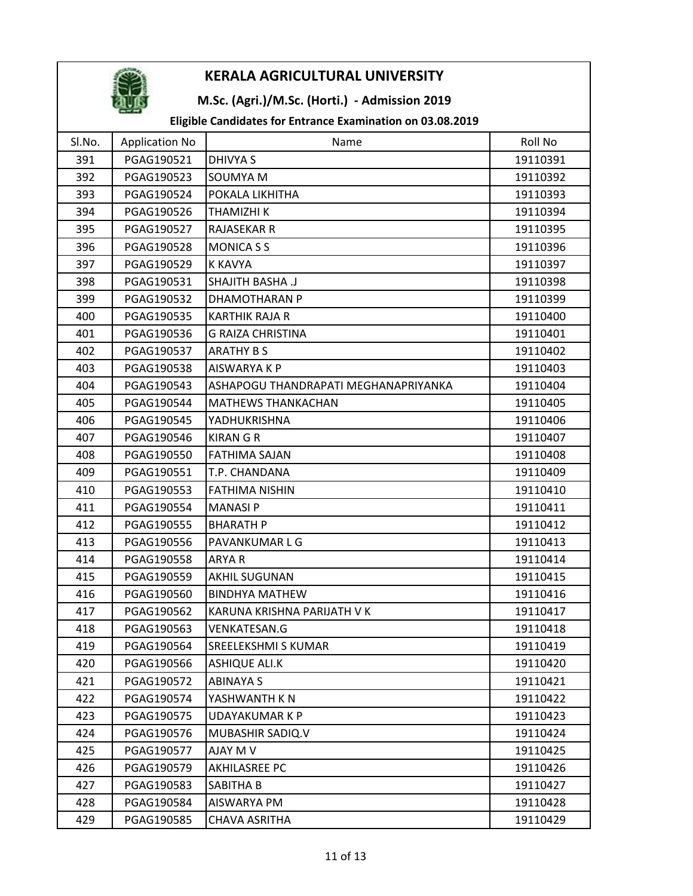

## M.Sc. (Agri.)/M.Sc. (Horti.) - Admission 2019

| SI.No. | <b>Application No</b> | Name                                 | Roll No  |
|--------|-----------------------|--------------------------------------|----------|
| 391    | PGAG190521            | <b>DHIVYA S</b>                      | 19110391 |
| 392    | PGAG190523            | <b>SOUMYA M</b>                      | 19110392 |
| 393    | PGAG190524            | POKALA LIKHITHA                      | 19110393 |
| 394    | PGAG190526            | THAMIZHI K                           | 19110394 |
| 395    | PGAG190527            | RAJASEKAR R                          | 19110395 |
| 396    | PGAG190528            | <b>MONICA S S</b>                    | 19110396 |
| 397    | PGAG190529            | K KAVYA                              | 19110397 |
| 398    | PGAG190531            | <b>SHAJITH BASHA .J</b>              | 19110398 |
| 399    | PGAG190532            | DHAMOTHARAN P                        | 19110399 |
| 400    | PGAG190535            | <b>KARTHIK RAJA R</b>                | 19110400 |
| 401    | PGAG190536            | <b>G RAIZA CHRISTINA</b>             | 19110401 |
| 402    | PGAG190537            | <b>ARATHY B S</b>                    | 19110402 |
| 403    | PGAG190538            | AISWARYA K P                         | 19110403 |
| 404    | PGAG190543            | ASHAPOGU THANDRAPATI MEGHANAPRIYANKA | 19110404 |
| 405    | PGAG190544            | <b>MATHEWS THANKACHAN</b>            | 19110405 |
| 406    | PGAG190545            | YADHUKRISHNA                         | 19110406 |
| 407    | PGAG190546            | <b>KIRAN G R</b>                     | 19110407 |
| 408    | PGAG190550            | <b>FATHIMA SAJAN</b>                 | 19110408 |
| 409    | PGAG190551            | T.P. CHANDANA                        | 19110409 |
| 410    | PGAG190553            | <b>FATHIMA NISHIN</b>                | 19110410 |
| 411    | PGAG190554            | <b>MANASIP</b>                       | 19110411 |
| 412    | PGAG190555            | <b>BHARATH P</b>                     | 19110412 |
| 413    | PGAG190556            | PAVANKUMAR L G                       | 19110413 |
| 414    | PGAG190558            | ARYA R                               | 19110414 |
| 415    | PGAG190559            | <b>AKHIL SUGUNAN</b>                 | 19110415 |
| 416    | PGAG190560            | <b>BINDHYA MATHEW</b>                | 19110416 |
| 417    | PGAG190562            | KARUNA KRISHNA PARIJATH V K          | 19110417 |
| 418    | PGAG190563            | <b>VENKATESAN.G</b>                  | 19110418 |
| 419    | PGAG190564            | <b>SREELEKSHMI S KUMAR</b>           | 19110419 |
| 420    | PGAG190566            | <b>ASHIQUE ALI.K</b>                 | 19110420 |
| 421    | PGAG190572            | <b>ABINAYA S</b>                     | 19110421 |
| 422    | PGAG190574            | YASHWANTH K N                        | 19110422 |
| 423    | PGAG190575            | <b>UDAYAKUMAR K P</b>                | 19110423 |
| 424    | PGAG190576            | MUBASHIR SADIQ.V                     | 19110424 |
| 425    | PGAG190577            | AJAY M V                             | 19110425 |
| 426    | PGAG190579            | <b>AKHILASREE PC</b>                 | 19110426 |
| 427    | PGAG190583            | SABITHA B                            | 19110427 |
| 428    | PGAG190584            | AISWARYA PM                          | 19110428 |
| 429    | PGAG190585            | <b>CHAVA ASRITHA</b>                 | 19110429 |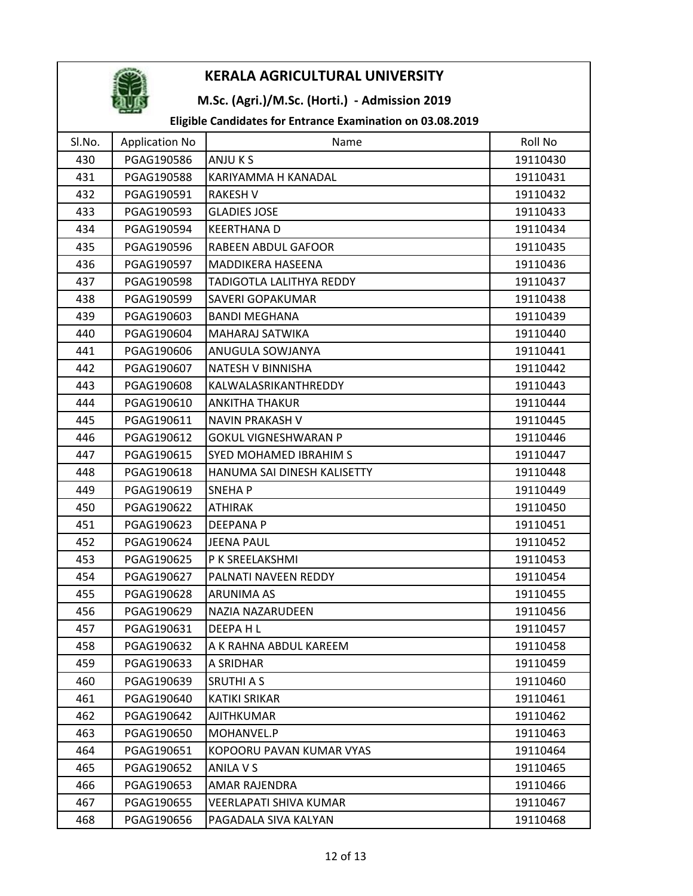

## M.Sc. (Agri.)/M.Sc. (Horti.) - Admission 2019

| Sl.No. | <b>Application No</b> | Name                        | Roll No  |
|--------|-----------------------|-----------------------------|----------|
| 430    | PGAG190586            | ANJU K S                    | 19110430 |
| 431    | PGAG190588            | KARIYAMMA H KANADAL         | 19110431 |
| 432    | PGAG190591            | <b>RAKESH V</b>             | 19110432 |
| 433    | PGAG190593            | <b>GLADIES JOSE</b>         | 19110433 |
| 434    | PGAG190594            | <b>KEERTHANAD</b>           | 19110434 |
| 435    | PGAG190596            | <b>RABEEN ABDUL GAFOOR</b>  | 19110435 |
| 436    | PGAG190597            | MADDIKERA HASEENA           | 19110436 |
| 437    | PGAG190598            | TADIGOTLA LALITHYA REDDY    | 19110437 |
| 438    | PGAG190599            | SAVERI GOPAKUMAR            | 19110438 |
| 439    | PGAG190603            | <b>BANDI MEGHANA</b>        | 19110439 |
| 440    | PGAG190604            | MAHARAJ SATWIKA             | 19110440 |
| 441    | PGAG190606            | ANUGULA SOWJANYA            | 19110441 |
| 442    | PGAG190607            | <b>NATESH V BINNISHA</b>    | 19110442 |
| 443    | PGAG190608            | KALWALASRIKANTHREDDY        | 19110443 |
| 444    | PGAG190610            | <b>ANKITHA THAKUR</b>       | 19110444 |
| 445    | PGAG190611            | <b>NAVIN PRAKASH V</b>      | 19110445 |
| 446    | PGAG190612            | <b>GOKUL VIGNESHWARAN P</b> | 19110446 |
| 447    | PGAG190615            | SYED MOHAMED IBRAHIM S      | 19110447 |
| 448    | PGAG190618            | HANUMA SAI DINESH KALISETTY | 19110448 |
| 449    | PGAG190619            | SNEHA P                     | 19110449 |
| 450    | PGAG190622            | <b>ATHIRAK</b>              | 19110450 |
| 451    | PGAG190623            | <b>DEEPANAP</b>             | 19110451 |
| 452    | PGAG190624            | <b>JEENA PAUL</b>           | 19110452 |
| 453    | PGAG190625            | P K SREELAKSHMI             | 19110453 |
| 454    | PGAG190627            | PALNATI NAVEEN REDDY        | 19110454 |
| 455    | PGAG190628            | <b>ARUNIMA AS</b>           | 19110455 |
| 456    | PGAG190629            | NAZIA NAZARUDEEN            | 19110456 |
| 457    | PGAG190631            | DEEPA HL                    | 19110457 |
| 458    | PGAG190632            | A K RAHNA ABDUL KAREEM      | 19110458 |
| 459    | PGAG190633            | A SRIDHAR                   | 19110459 |
| 460    | PGAG190639            | <b>SRUTHI A S</b>           | 19110460 |
| 461    | PGAG190640            | <b>KATIKI SRIKAR</b>        | 19110461 |
| 462    | PGAG190642            | <b>AJITHKUMAR</b>           | 19110462 |
| 463    | PGAG190650            | MOHANVEL.P                  | 19110463 |
| 464    | PGAG190651            | KOPOORU PAVAN KUMAR VYAS    | 19110464 |
| 465    | PGAG190652            | ANILA V S                   | 19110465 |
| 466    | PGAG190653            | AMAR RAJENDRA               | 19110466 |
| 467    | PGAG190655            | VEERLAPATI SHIVA KUMAR      | 19110467 |
| 468    | PGAG190656            | PAGADALA SIVA KALYAN        | 19110468 |
|        |                       |                             |          |